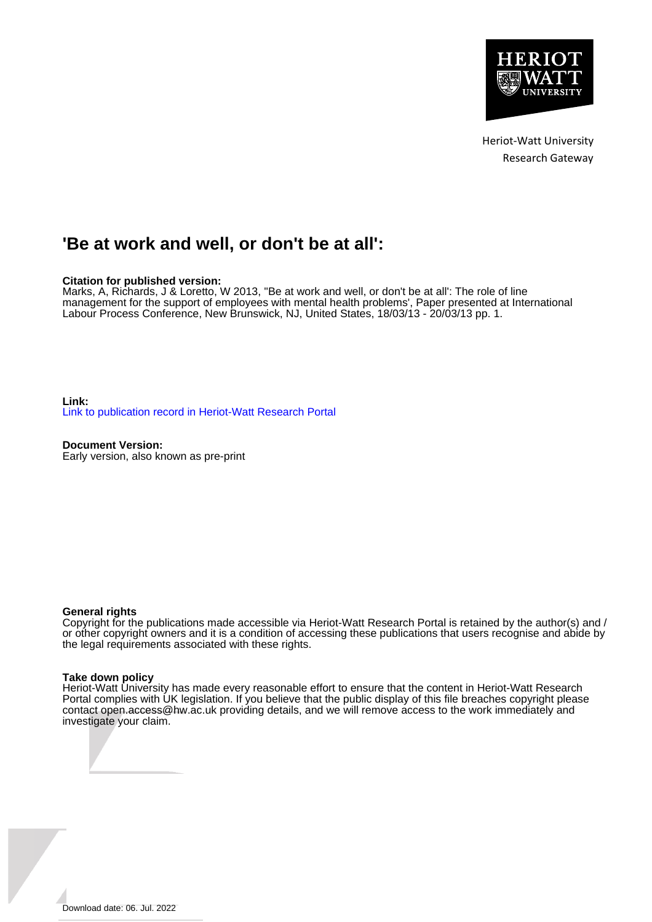

Heriot-Watt University Research Gateway

# **'Be at work and well, or don't be at all':**

# **Citation for published version:**

Marks, A, Richards, J & Loretto, W 2013, ''Be at work and well, or don't be at all': The role of line management for the support of employees with mental health problems', Paper presented at International Labour Process Conference, New Brunswick, NJ, United States, 18/03/13 - 20/03/13 pp. 1.

**Link:** [Link to publication record in Heriot-Watt Research Portal](https://researchportal.hw.ac.uk/en/publications/2d63f3d9-8f11-41a1-9234-4fdcbd7d6b84)

**Document Version:** Early version, also known as pre-print

#### **General rights**

Copyright for the publications made accessible via Heriot-Watt Research Portal is retained by the author(s) and / or other copyright owners and it is a condition of accessing these publications that users recognise and abide by the legal requirements associated with these rights.

#### **Take down policy**

Heriot-Watt University has made every reasonable effort to ensure that the content in Heriot-Watt Research Portal complies with UK legislation. If you believe that the public display of this file breaches copyright please contact open.access@hw.ac.uk providing details, and we will remove access to the work immediately and investigate your claim.

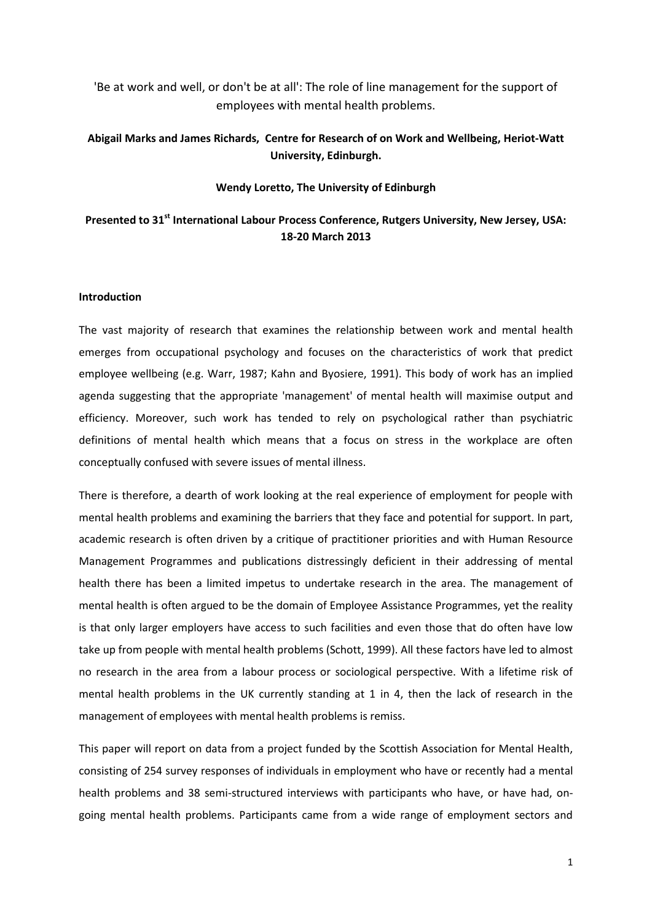'Be at work and well, or don't be at all': The role of line management for the support of employees with mental health problems.

# **Abigail Marks and James Richards, Centre for Research of on Work and Wellbeing, Heriot-Watt University, Edinburgh.**

# **Wendy Loretto, The University of Edinburgh**

# **Presented to 31st International Labour Process Conference, Rutgers University, New Jersey, USA: 18-20 March 2013**

# **Introduction**

The vast majority of research that examines the relationship between work and mental health emerges from occupational psychology and focuses on the characteristics of work that predict employee wellbeing (e.g. Warr, 1987; Kahn and Byosiere, 1991). This body of work has an implied agenda suggesting that the appropriate 'management' of mental health will maximise output and efficiency. Moreover, such work has tended to rely on psychological rather than psychiatric definitions of mental health which means that a focus on stress in the workplace are often conceptually confused with severe issues of mental illness.

There is therefore, a dearth of work looking at the real experience of employment for people with mental health problems and examining the barriers that they face and potential for support. In part, academic research is often driven by a critique of practitioner priorities and with Human Resource Management Programmes and publications distressingly deficient in their addressing of mental health there has been a limited impetus to undertake research in the area. The management of mental health is often argued to be the domain of Employee Assistance Programmes, yet the reality is that only larger employers have access to such facilities and even those that do often have low take up from people with mental health problems (Schott, 1999). All these factors have led to almost no research in the area from a labour process or sociological perspective. With a lifetime risk of mental health problems in the UK currently standing at 1 in 4, then the lack of research in the management of employees with mental health problems is remiss.

This paper will report on data from a project funded by the Scottish Association for Mental Health, consisting of 254 survey responses of individuals in employment who have or recently had a mental health problems and 38 semi-structured interviews with participants who have, or have had, ongoing mental health problems. Participants came from a wide range of employment sectors and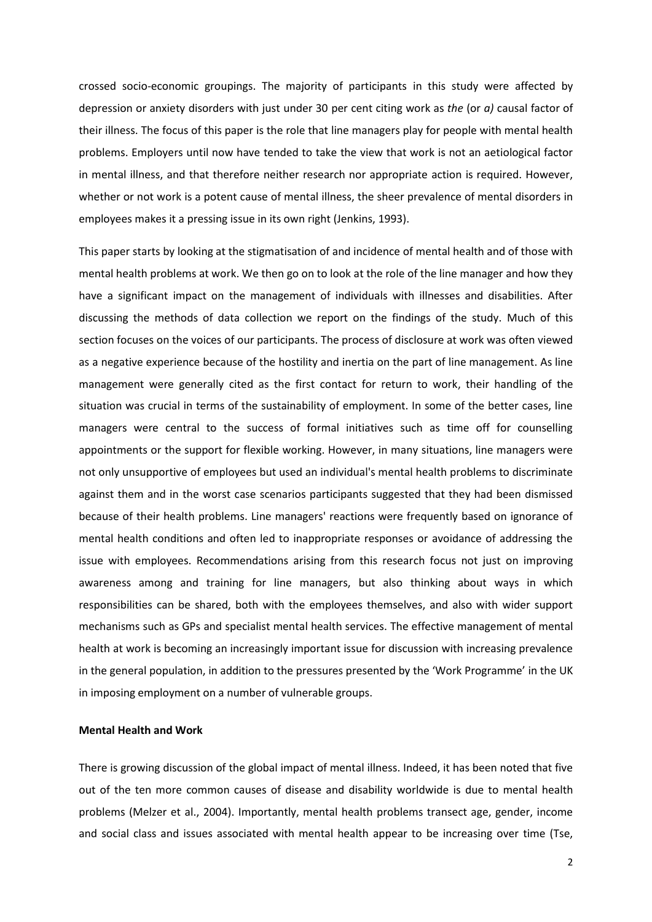crossed socio-economic groupings. The majority of participants in this study were affected by depression or anxiety disorders with just under 30 per cent citing work as *the* (or *a)* causal factor of their illness. The focus of this paper is the role that line managers play for people with mental health problems. Employers until now have tended to take the view that work is not an aetiological factor in mental illness, and that therefore neither research nor appropriate action is required. However, whether or not work is a potent cause of mental illness, the sheer prevalence of mental disorders in employees makes it a pressing issue in its own right (Jenkins, 1993).

This paper starts by looking at the stigmatisation of and incidence of mental health and of those with mental health problems at work. We then go on to look at the role of the line manager and how they have a significant impact on the management of individuals with illnesses and disabilities. After discussing the methods of data collection we report on the findings of the study. Much of this section focuses on the voices of our participants. The process of disclosure at work was often viewed as a negative experience because of the hostility and inertia on the part of line management. As line management were generally cited as the first contact for return to work, their handling of the situation was crucial in terms of the sustainability of employment. In some of the better cases, line managers were central to the success of formal initiatives such as time off for counselling appointments or the support for flexible working. However, in many situations, line managers were not only unsupportive of employees but used an individual's mental health problems to discriminate against them and in the worst case scenarios participants suggested that they had been dismissed because of their health problems. Line managers' reactions were frequently based on ignorance of mental health conditions and often led to inappropriate responses or avoidance of addressing the issue with employees. Recommendations arising from this research focus not just on improving awareness among and training for line managers, but also thinking about ways in which responsibilities can be shared, both with the employees themselves, and also with wider support mechanisms such as GPs and specialist mental health services. The effective management of mental health at work is becoming an increasingly important issue for discussion with increasing prevalence in the general population, in addition to the pressures presented by the 'Work Programme' in the UK in imposing employment on a number of vulnerable groups.

# **Mental Health and Work**

There is growing discussion of the global impact of mental illness. Indeed, it has been noted that five out of the ten more common causes of disease and disability worldwide is due to mental health problems (Melzer et al., 2004). Importantly, mental health problems transect age, gender, income and social class and issues associated with mental health appear to be increasing over time (Tse,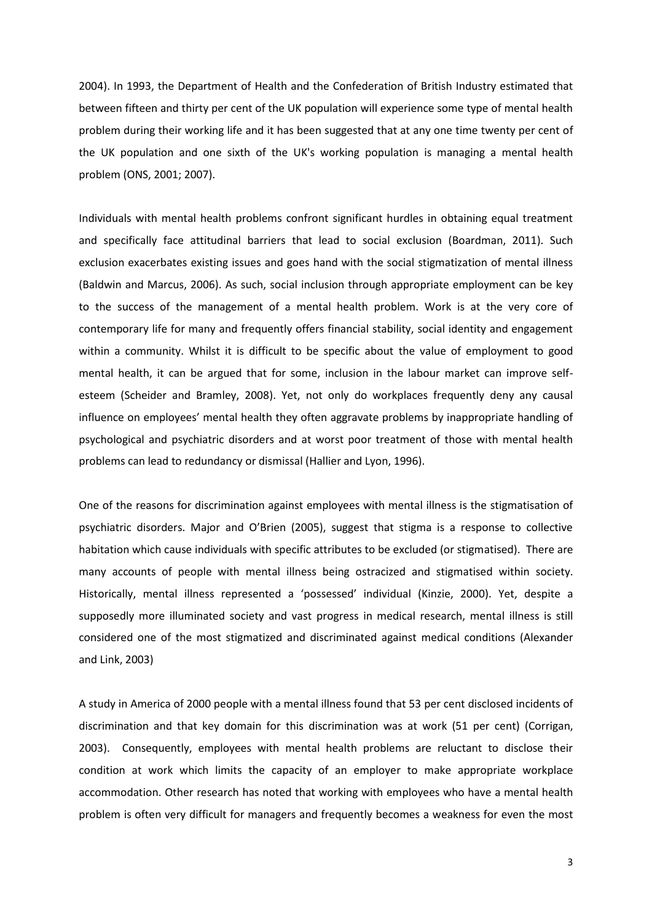2004). In 1993, the Department of Health and the Confederation of British Industry estimated that between fifteen and thirty per cent of the UK population will experience some type of mental health problem during their working life and it has been suggested that at any one time twenty per cent of the UK population and one sixth of the UK's working population is managing a mental health problem (ONS, 2001; 2007).

Individuals with mental health problems confront significant hurdles in obtaining equal treatment and specifically face attitudinal barriers that lead to social exclusion (Boardman, 2011). Such exclusion exacerbates existing issues and goes hand with the social stigmatization of mental illness (Baldwin and Marcus, 2006). As such, social inclusion through appropriate employment can be key to the success of the management of a mental health problem. Work is at the very core of contemporary life for many and frequently offers financial stability, social identity and engagement within a community. Whilst it is difficult to be specific about the value of employment to good mental health, it can be argued that for some, inclusion in the labour market can improve selfesteem (Scheider and Bramley, 2008). Yet, not only do workplaces frequently deny any causal influence on employees' mental health they often aggravate problems by inappropriate handling of psychological and psychiatric disorders and at worst poor treatment of those with mental health problems can lead to redundancy or dismissal (Hallier and Lyon, 1996).

One of the reasons for discrimination against employees with mental illness is the stigmatisation of psychiatric disorders. Major and O'Brien (2005), suggest that stigma is a response to collective habitation which cause individuals with specific attributes to be excluded (or stigmatised). There are many accounts of people with mental illness being ostracized and stigmatised within society. Historically, mental illness represented a 'possessed' individual (Kinzie, 2000). Yet, despite a supposedly more illuminated society and vast progress in medical research, mental illness is still considered one of the most stigmatized and discriminated against medical conditions (Alexander and Link, 2003)

A study in America of 2000 people with a mental illness found that 53 per cent disclosed incidents of discrimination and that key domain for this discrimination was at work (51 per cent) (Corrigan, 2003). Consequently, employees with mental health problems are reluctant to disclose their condition at work which limits the capacity of an employer to make appropriate workplace accommodation. Other research has noted that working with employees who have a mental health problem is often very difficult for managers and frequently becomes a weakness for even the most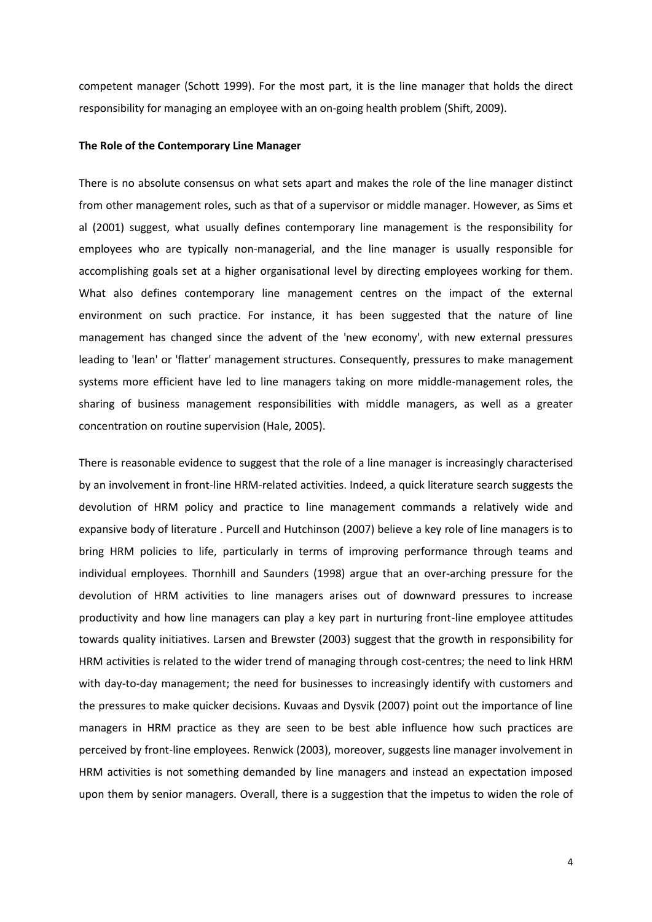competent manager (Schott 1999). For the most part, it is the line manager that holds the direct responsibility for managing an employee with an on-going health problem (Shift, 2009).

#### **The Role of the Contemporary Line Manager**

There is no absolute consensus on what sets apart and makes the role of the line manager distinct from other management roles, such as that of a supervisor or middle manager. However, as Sims et al (2001) suggest, what usually defines contemporary line management is the responsibility for employees who are typically non-managerial, and the line manager is usually responsible for accomplishing goals set at a higher organisational level by directing employees working for them. What also defines contemporary line management centres on the impact of the external environment on such practice. For instance, it has been suggested that the nature of line management has changed since the advent of the 'new economy', with new external pressures leading to 'lean' or 'flatter' management structures. Consequently, pressures to make management systems more efficient have led to line managers taking on more middle-management roles, the sharing of business management responsibilities with middle managers, as well as a greater concentration on routine supervision (Hale, 2005).

There is reasonable evidence to suggest that the role of a line manager is increasingly characterised by an involvement in front-line HRM-related activities. Indeed, a quick literature search suggests the devolution of HRM policy and practice to line management commands a relatively wide and expansive body of literature . Purcell and Hutchinson (2007) believe a key role of line managers is to bring HRM policies to life, particularly in terms of improving performance through teams and individual employees. Thornhill and Saunders (1998) argue that an over-arching pressure for the devolution of HRM activities to line managers arises out of downward pressures to increase productivity and how line managers can play a key part in nurturing front-line employee attitudes towards quality initiatives. Larsen and Brewster (2003) suggest that the growth in responsibility for HRM activities is related to the wider trend of managing through cost-centres; the need to link HRM with day-to-day management; the need for businesses to increasingly identify with customers and the pressures to make quicker decisions. Kuvaas and Dysvik (2007) point out the importance of line managers in HRM practice as they are seen to be best able influence how such practices are perceived by front-line employees. Renwick (2003), moreover, suggests line manager involvement in HRM activities is not something demanded by line managers and instead an expectation imposed upon them by senior managers. Overall, there is a suggestion that the impetus to widen the role of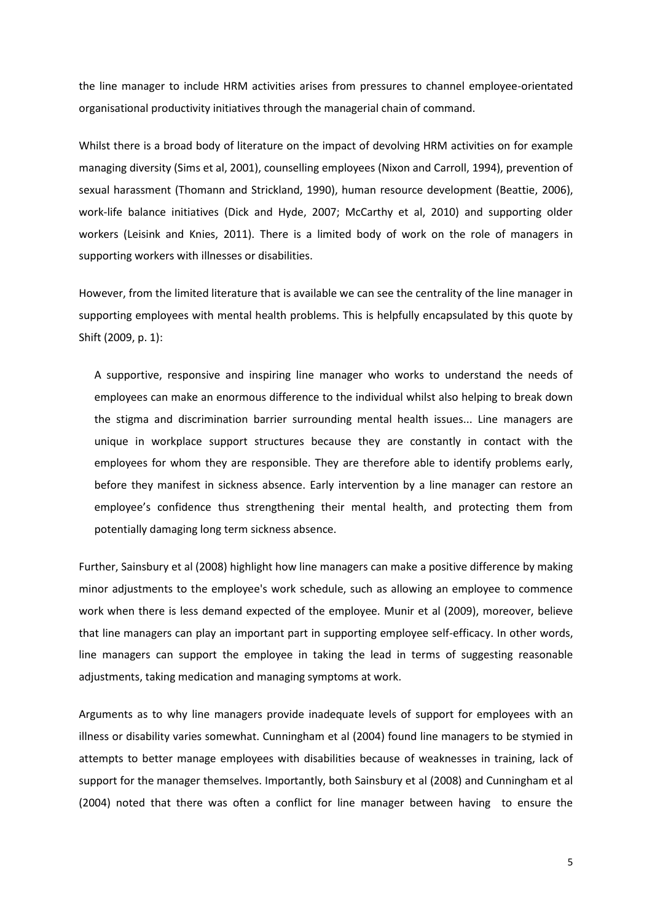the line manager to include HRM activities arises from pressures to channel employee-orientated organisational productivity initiatives through the managerial chain of command.

Whilst there is a broad body of literature on the impact of devolving HRM activities on for example managing diversity (Sims et al, 2001), counselling employees (Nixon and Carroll, 1994), prevention of sexual harassment (Thomann and Strickland, 1990), human resource development (Beattie, 2006), work-life balance initiatives (Dick and Hyde, 2007; McCarthy et al, 2010) and supporting older workers (Leisink and Knies, 2011). There is a limited body of work on the role of managers in supporting workers with illnesses or disabilities.

However, from the limited literature that is available we can see the centrality of the line manager in supporting employees with mental health problems. This is helpfully encapsulated by this quote by Shift (2009, p. 1):

A supportive, responsive and inspiring line manager who works to understand the needs of employees can make an enormous difference to the individual whilst also helping to break down the stigma and discrimination barrier surrounding mental health issues... Line managers are unique in workplace support structures because they are constantly in contact with the employees for whom they are responsible. They are therefore able to identify problems early, before they manifest in sickness absence. Early intervention by a line manager can restore an employee's confidence thus strengthening their mental health, and protecting them from potentially damaging long term sickness absence.

Further, Sainsbury et al (2008) highlight how line managers can make a positive difference by making minor adjustments to the employee's work schedule, such as allowing an employee to commence work when there is less demand expected of the employee. Munir et al (2009), moreover, believe that line managers can play an important part in supporting employee self-efficacy. In other words, line managers can support the employee in taking the lead in terms of suggesting reasonable adjustments, taking medication and managing symptoms at work.

Arguments as to why line managers provide inadequate levels of support for employees with an illness or disability varies somewhat. Cunningham et al (2004) found line managers to be stymied in attempts to better manage employees with disabilities because of weaknesses in training, lack of support for the manager themselves. Importantly, both Sainsbury et al (2008) and Cunningham et al (2004) noted that there was often a conflict for line manager between having to ensure the

5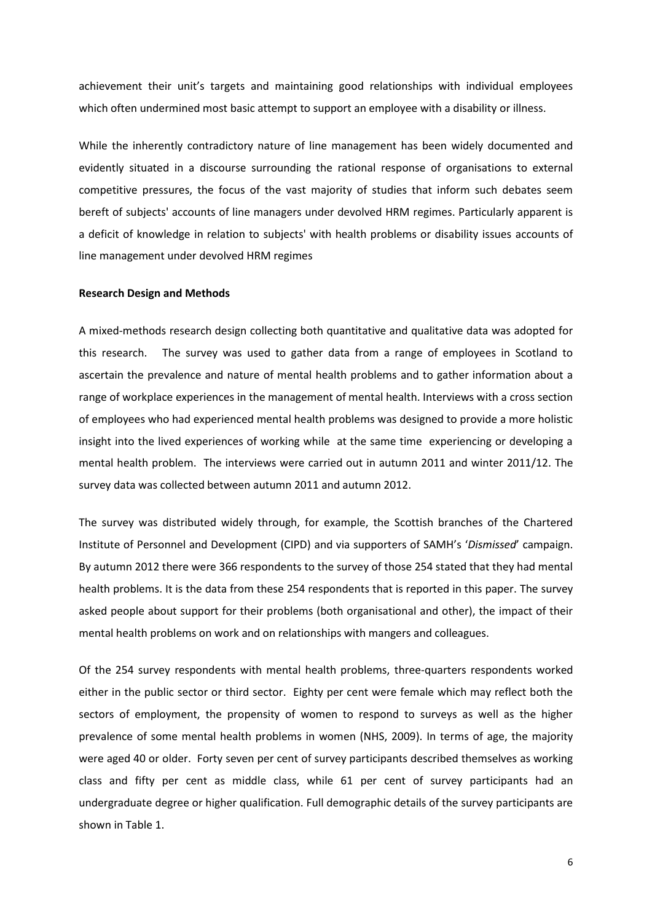achievement their unit's targets and maintaining good relationships with individual employees which often undermined most basic attempt to support an employee with a disability or illness.

While the inherently contradictory nature of line management has been widely documented and evidently situated in a discourse surrounding the rational response of organisations to external competitive pressures, the focus of the vast majority of studies that inform such debates seem bereft of subjects' accounts of line managers under devolved HRM regimes. Particularly apparent is a deficit of knowledge in relation to subjects' with health problems or disability issues accounts of line management under devolved HRM regimes

## **Research Design and Methods**

A mixed-methods research design collecting both quantitative and qualitative data was adopted for this research. The survey was used to gather data from a range of employees in Scotland to ascertain the prevalence and nature of mental health problems and to gather information about a range of workplace experiences in the management of mental health. Interviews with a cross section of employees who had experienced mental health problems was designed to provide a more holistic insight into the lived experiences of working while at the same time experiencing or developing a mental health problem. The interviews were carried out in autumn 2011 and winter 2011/12. The survey data was collected between autumn 2011 and autumn 2012.

The survey was distributed widely through, for example, the Scottish branches of the Chartered Institute of Personnel and Development (CIPD) and via supporters of SAMH's '*Dismissed*' campaign. By autumn 2012 there were 366 respondents to the survey of those 254 stated that they had mental health problems. It is the data from these 254 respondents that is reported in this paper. The survey asked people about support for their problems (both organisational and other), the impact of their mental health problems on work and on relationships with mangers and colleagues.

Of the 254 survey respondents with mental health problems, three-quarters respondents worked either in the public sector or third sector. Eighty per cent were female which may reflect both the sectors of employment, the propensity of women to respond to surveys as well as the higher prevalence of some mental health problems in women (NHS, 2009). In terms of age, the majority were aged 40 or older. Forty seven per cent of survey participants described themselves as working class and fifty per cent as middle class, while 61 per cent of survey participants had an undergraduate degree or higher qualification. Full demographic details of the survey participants are shown in Table 1.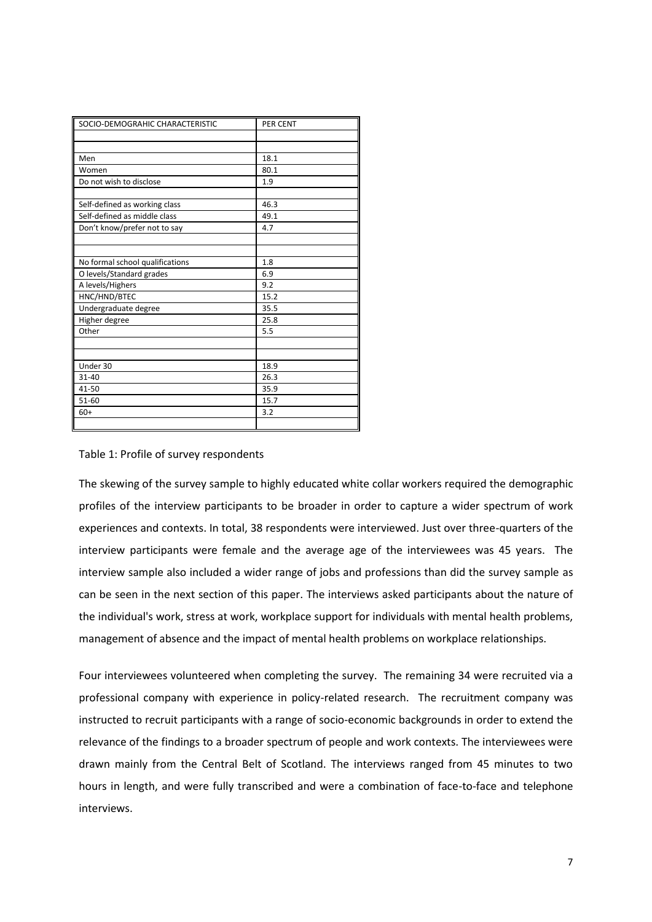| SOCIO-DEMOGRAHIC CHARACTERISTIC | PER CENT |
|---------------------------------|----------|
|                                 |          |
|                                 |          |
| Men                             | 18.1     |
| Women                           | 80.1     |
| Do not wish to disclose         | 1.9      |
|                                 |          |
| Self-defined as working class   | 46.3     |
| Self-defined as middle class    | 49.1     |
| Don't know/prefer not to say    | 4.7      |
|                                 |          |
|                                 |          |
| No formal school qualifications | 1.8      |
| O levels/Standard grades        | 6.9      |
| A levels/Highers                | 9.2      |
| HNC/HND/BTEC                    | 15.2     |
| Undergraduate degree            | 35.5     |
| Higher degree                   | 25.8     |
| Other                           | 5.5      |
|                                 |          |
|                                 |          |
| Under 30                        | 18.9     |
| $31 - 40$                       | 26.3     |
| 41-50                           | 35.9     |
| 51-60                           | 15.7     |
| $60+$                           | 3.2      |
|                                 |          |

# Table 1: Profile of survey respondents

The skewing of the survey sample to highly educated white collar workers required the demographic profiles of the interview participants to be broader in order to capture a wider spectrum of work experiences and contexts. In total, 38 respondents were interviewed. Just over three-quarters of the interview participants were female and the average age of the interviewees was 45 years. The interview sample also included a wider range of jobs and professions than did the survey sample as can be seen in the next section of this paper. The interviews asked participants about the nature of the individual's work, stress at work, workplace support for individuals with mental health problems, management of absence and the impact of mental health problems on workplace relationships.

Four interviewees volunteered when completing the survey. The remaining 34 were recruited via a professional company with experience in policy-related research. The recruitment company was instructed to recruit participants with a range of socio-economic backgrounds in order to extend the relevance of the findings to a broader spectrum of people and work contexts. The interviewees were drawn mainly from the Central Belt of Scotland. The interviews ranged from 45 minutes to two hours in length, and were fully transcribed and were a combination of face-to-face and telephone interviews.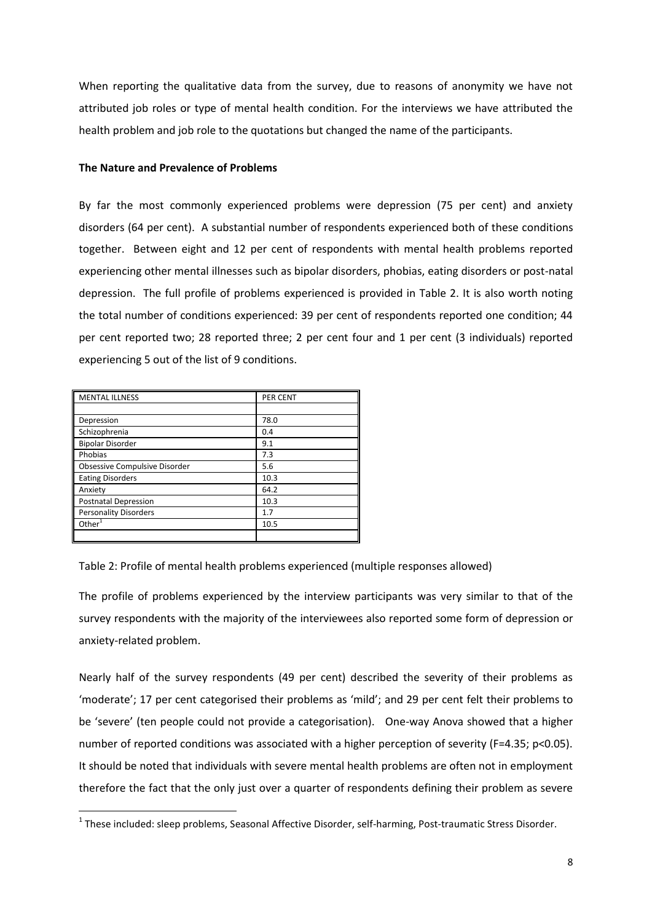When reporting the qualitative data from the survey, due to reasons of anonymity we have not attributed job roles or type of mental health condition. For the interviews we have attributed the health problem and job role to the quotations but changed the name of the participants.

### **The Nature and Prevalence of Problems**

By far the most commonly experienced problems were depression (75 per cent) and anxiety disorders (64 per cent). A substantial number of respondents experienced both of these conditions together. Between eight and 12 per cent of respondents with mental health problems reported experiencing other mental illnesses such as bipolar disorders, phobias, eating disorders or post-natal depression. The full profile of problems experienced is provided in Table 2. It is also worth noting the total number of conditions experienced: 39 per cent of respondents reported one condition; 44 per cent reported two; 28 reported three; 2 per cent four and 1 per cent (3 individuals) reported experiencing 5 out of the list of 9 conditions.

| <b>MENTAL ILLNESS</b>                | PER CENT |
|--------------------------------------|----------|
|                                      |          |
| Depression                           | 78.0     |
| Schizophrenia                        | 0.4      |
| <b>Bipolar Disorder</b>              | 9.1      |
| Phobias                              | 7.3      |
| <b>Obsessive Compulsive Disorder</b> | 5.6      |
| <b>Eating Disorders</b>              | 10.3     |
| Anxiety                              | 64.2     |
| <b>Postnatal Depression</b>          | 10.3     |
| <b>Personality Disorders</b>         | 1.7      |
| Other <sup>1</sup>                   | 10.5     |
|                                      |          |

1

The profile of problems experienced by the interview participants was very similar to that of the survey respondents with the majority of the interviewees also reported some form of depression or anxiety-related problem.

Nearly half of the survey respondents (49 per cent) described the severity of their problems as 'moderate'; 17 per cent categorised their problems as 'mild'; and 29 per cent felt their problems to be 'severe' (ten people could not provide a categorisation). One-way Anova showed that a higher number of reported conditions was associated with a higher perception of severity (F=4.35; p<0.05). It should be noted that individuals with severe mental health problems are often not in employment therefore the fact that the only just over a quarter of respondents defining their problem as severe

Table 2: Profile of mental health problems experienced (multiple responses allowed)

<sup>&</sup>lt;sup>1</sup> These included: sleep problems, Seasonal Affective Disorder, self-harming, Post-traumatic Stress Disorder.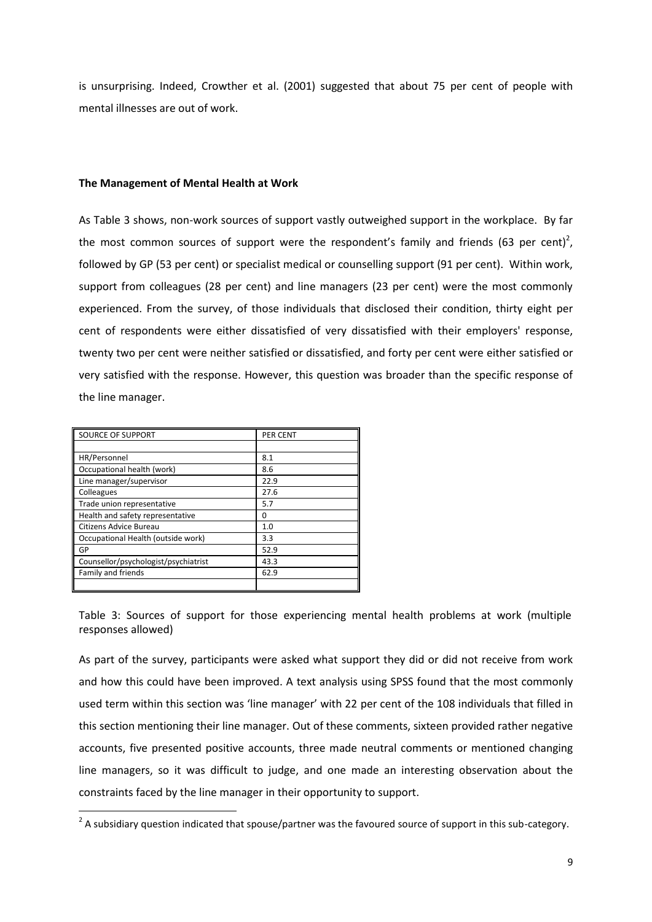is unsurprising. Indeed, Crowther et al. (2001) suggested that about 75 per cent of people with mental illnesses are out of work.

## **The Management of Mental Health at Work**

As Table 3 shows, non-work sources of support vastly outweighed support in the workplace. By far the most common sources of support were the respondent's family and friends (63 per cent)<sup>2</sup>, followed by GP (53 per cent) or specialist medical or counselling support (91 per cent). Within work, support from colleagues (28 per cent) and line managers (23 per cent) were the most commonly experienced. From the survey, of those individuals that disclosed their condition, thirty eight per cent of respondents were either dissatisfied of very dissatisfied with their employers' response, twenty two per cent were neither satisfied or dissatisfied, and forty per cent were either satisfied or very satisfied with the response. However, this question was broader than the specific response of the line manager.

| <b>SOURCE OF SUPPORT</b>             | <b>PER CENT</b> |
|--------------------------------------|-----------------|
|                                      |                 |
| HR/Personnel                         | 8.1             |
| Occupational health (work)           | 8.6             |
| Line manager/supervisor              | 22.9            |
| Colleagues                           | 27.6            |
| Trade union representative           | 5.7             |
| Health and safety representative     | 0               |
| Citizens Advice Bureau               | 1.0             |
| Occupational Health (outside work)   | 3.3             |
| GP                                   | 52.9            |
| Counsellor/psychologist/psychiatrist | 43.3            |
| Family and friends                   | 62.9            |
|                                      |                 |

Table 3: Sources of support for those experiencing mental health problems at work (multiple responses allowed)

As part of the survey, participants were asked what support they did or did not receive from work and how this could have been improved. A text analysis using SPSS found that the most commonly used term within this section was 'line manager' with 22 per cent of the 108 individuals that filled in this section mentioning their line manager. Out of these comments, sixteen provided rather negative accounts, five presented positive accounts, three made neutral comments or mentioned changing line managers, so it was difficult to judge, and one made an interesting observation about the constraints faced by the line manager in their opportunity to support.

 2 A subsidiary question indicated that spouse/partner was the favoured source of support in this sub-category.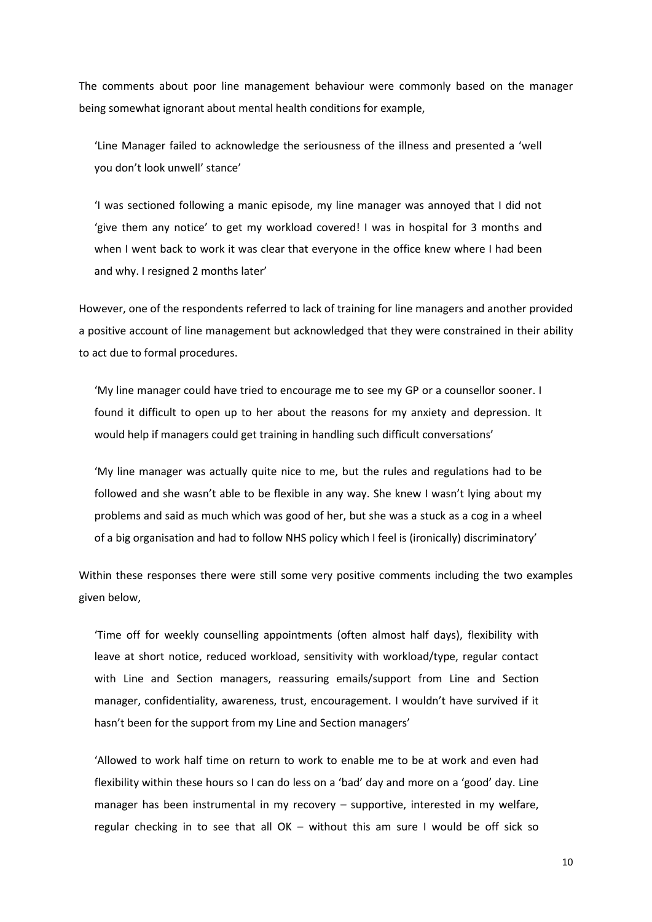The comments about poor line management behaviour were commonly based on the manager being somewhat ignorant about mental health conditions for example,

'Line Manager failed to acknowledge the seriousness of the illness and presented a 'well you don't look unwell' stance'

'I was sectioned following a manic episode, my line manager was annoyed that I did not 'give them any notice' to get my workload covered! I was in hospital for 3 months and when I went back to work it was clear that everyone in the office knew where I had been and why. I resigned 2 months later'

However, one of the respondents referred to lack of training for line managers and another provided a positive account of line management but acknowledged that they were constrained in their ability to act due to formal procedures.

'My line manager could have tried to encourage me to see my GP or a counsellor sooner. I found it difficult to open up to her about the reasons for my anxiety and depression. It would help if managers could get training in handling such difficult conversations'

'My line manager was actually quite nice to me, but the rules and regulations had to be followed and she wasn't able to be flexible in any way. She knew I wasn't lying about my problems and said as much which was good of her, but she was a stuck as a cog in a wheel of a big organisation and had to follow NHS policy which I feel is (ironically) discriminatory'

Within these responses there were still some very positive comments including the two examples given below,

'Time off for weekly counselling appointments (often almost half days), flexibility with leave at short notice, reduced workload, sensitivity with workload/type, regular contact with Line and Section managers, reassuring emails/support from Line and Section manager, confidentiality, awareness, trust, encouragement. I wouldn't have survived if it hasn't been for the support from my Line and Section managers'

'Allowed to work half time on return to work to enable me to be at work and even had flexibility within these hours so I can do less on a 'bad' day and more on a 'good' day. Line manager has been instrumental in my recovery – supportive, interested in my welfare, regular checking in to see that all OK – without this am sure I would be off sick so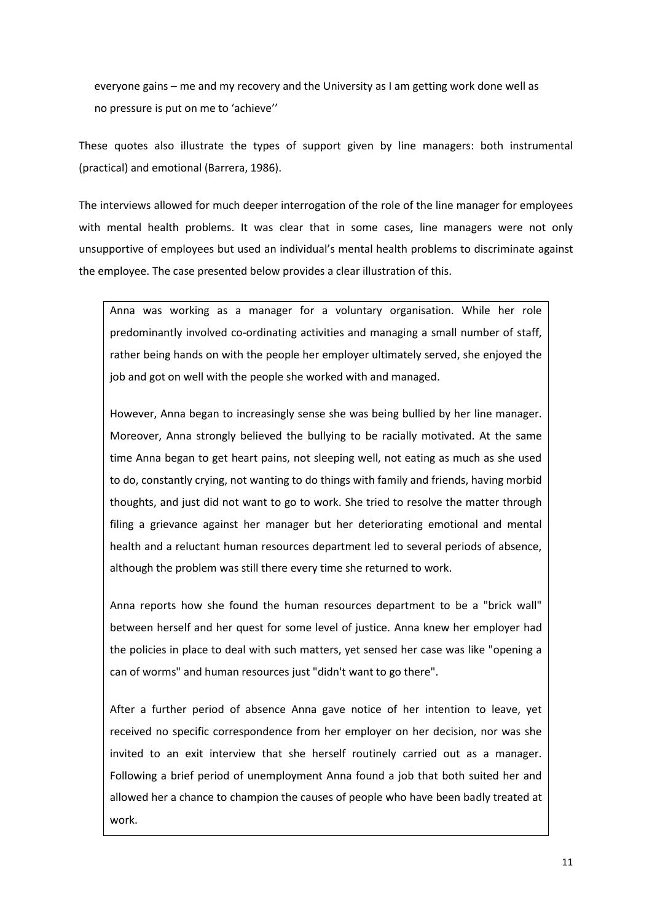everyone gains – me and my recovery and the University as I am getting work done well as no pressure is put on me to 'achieve''

These quotes also illustrate the types of support given by line managers: both instrumental (practical) and emotional (Barrera, 1986).

The interviews allowed for much deeper interrogation of the role of the line manager for employees with mental health problems. It was clear that in some cases, line managers were not only unsupportive of employees but used an individual's mental health problems to discriminate against the employee. The case presented below provides a clear illustration of this.

Anna was working as a manager for a voluntary organisation. While her role predominantly involved co-ordinating activities and managing a small number of staff, rather being hands on with the people her employer ultimately served, she enjoyed the job and got on well with the people she worked with and managed.

However, Anna began to increasingly sense she was being bullied by her line manager. Moreover, Anna strongly believed the bullying to be racially motivated. At the same time Anna began to get heart pains, not sleeping well, not eating as much as she used to do, constantly crying, not wanting to do things with family and friends, having morbid thoughts, and just did not want to go to work. She tried to resolve the matter through filing a grievance against her manager but her deteriorating emotional and mental health and a reluctant human resources department led to several periods of absence, although the problem was still there every time she returned to work.

Anna reports how she found the human resources department to be a "brick wall" between herself and her quest for some level of justice. Anna knew her employer had the policies in place to deal with such matters, yet sensed her case was like "opening a can of worms" and human resources just "didn't want to go there".

After a further period of absence Anna gave notice of her intention to leave, yet received no specific correspondence from her employer on her decision, nor was she invited to an exit interview that she herself routinely carried out as a manager. Following a brief period of unemployment Anna found a job that both suited her and allowed her a chance to champion the causes of people who have been badly treated at work.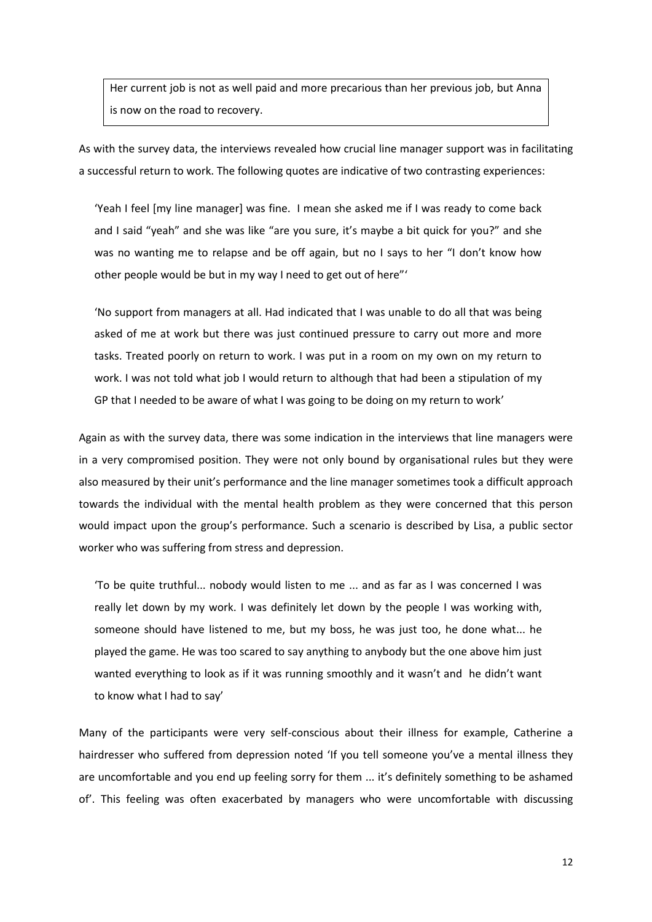Her current job is not as well paid and more precarious than her previous job, but Anna is now on the road to recovery.

As with the survey data, the interviews revealed how crucial line manager support was in facilitating a successful return to work. The following quotes are indicative of two contrasting experiences:

'Yeah I feel [my line manager] was fine. I mean she asked me if I was ready to come back and I said "yeah" and she was like "are you sure, it's maybe a bit quick for you?" and she was no wanting me to relapse and be off again, but no I says to her "I don't know how other people would be but in my way I need to get out of here"'

'No support from managers at all. Had indicated that I was unable to do all that was being asked of me at work but there was just continued pressure to carry out more and more tasks. Treated poorly on return to work. I was put in a room on my own on my return to work. I was not told what job I would return to although that had been a stipulation of my GP that I needed to be aware of what I was going to be doing on my return to work'

Again as with the survey data, there was some indication in the interviews that line managers were in a very compromised position. They were not only bound by organisational rules but they were also measured by their unit's performance and the line manager sometimes took a difficult approach towards the individual with the mental health problem as they were concerned that this person would impact upon the group's performance. Such a scenario is described by Lisa, a public sector worker who was suffering from stress and depression.

'To be quite truthful... nobody would listen to me ... and as far as I was concerned I was really let down by my work. I was definitely let down by the people I was working with, someone should have listened to me, but my boss, he was just too, he done what... he played the game. He was too scared to say anything to anybody but the one above him just wanted everything to look as if it was running smoothly and it wasn't and he didn't want to know what I had to say'

Many of the participants were very self-conscious about their illness for example, Catherine a hairdresser who suffered from depression noted 'If you tell someone you've a mental illness they are uncomfortable and you end up feeling sorry for them ... it's definitely something to be ashamed of'. This feeling was often exacerbated by managers who were uncomfortable with discussing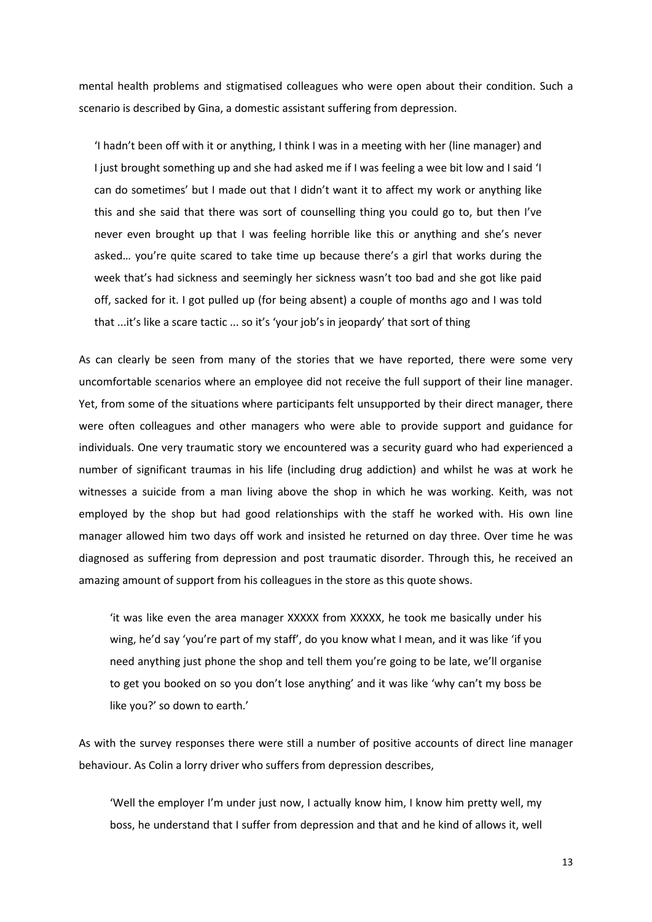mental health problems and stigmatised colleagues who were open about their condition. Such a scenario is described by Gina, a domestic assistant suffering from depression.

'I hadn't been off with it or anything, I think I was in a meeting with her (line manager) and I just brought something up and she had asked me if I was feeling a wee bit low and I said 'I can do sometimes' but I made out that I didn't want it to affect my work or anything like this and she said that there was sort of counselling thing you could go to, but then I've never even brought up that I was feeling horrible like this or anything and she's never asked… you're quite scared to take time up because there's a girl that works during the week that's had sickness and seemingly her sickness wasn't too bad and she got like paid off, sacked for it. I got pulled up (for being absent) a couple of months ago and I was told that ...it's like a scare tactic ... so it's 'your job's in jeopardy' that sort of thing

As can clearly be seen from many of the stories that we have reported, there were some very uncomfortable scenarios where an employee did not receive the full support of their line manager. Yet, from some of the situations where participants felt unsupported by their direct manager, there were often colleagues and other managers who were able to provide support and guidance for individuals. One very traumatic story we encountered was a security guard who had experienced a number of significant traumas in his life (including drug addiction) and whilst he was at work he witnesses a suicide from a man living above the shop in which he was working. Keith, was not employed by the shop but had good relationships with the staff he worked with. His own line manager allowed him two days off work and insisted he returned on day three. Over time he was diagnosed as suffering from depression and post traumatic disorder. Through this, he received an amazing amount of support from his colleagues in the store as this quote shows.

'it was like even the area manager XXXXX from XXXXX, he took me basically under his wing, he'd say 'you're part of my staff', do you know what I mean, and it was like 'if you need anything just phone the shop and tell them you're going to be late, we'll organise to get you booked on so you don't lose anything' and it was like 'why can't my boss be like you?' so down to earth.'

As with the survey responses there were still a number of positive accounts of direct line manager behaviour. As Colin a lorry driver who suffers from depression describes,

'Well the employer I'm under just now, I actually know him, I know him pretty well, my boss, he understand that I suffer from depression and that and he kind of allows it, well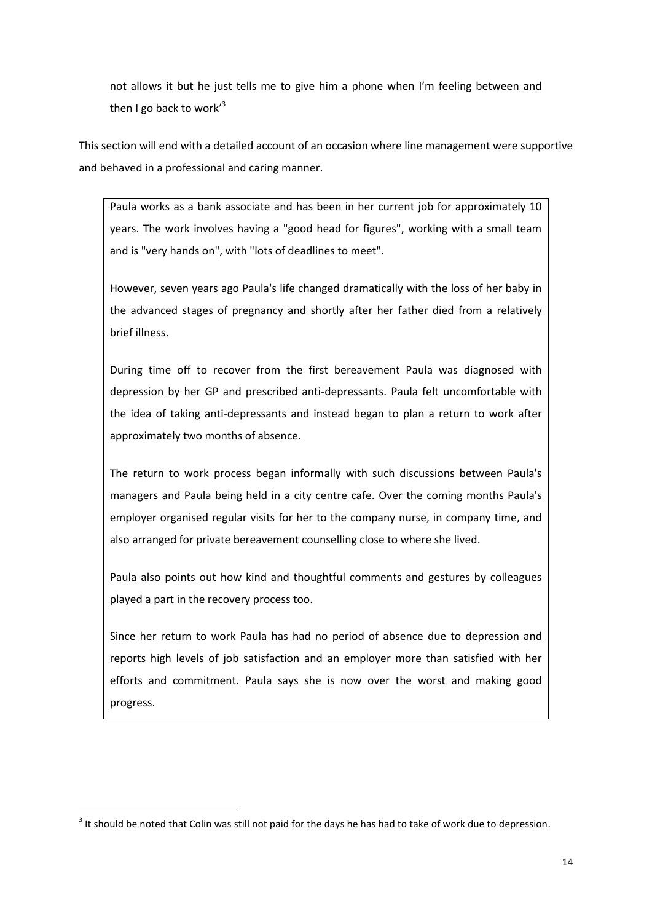not allows it but he just tells me to give him a phone when I'm feeling between and then I go back to work<sup>3</sup>

This section will end with a detailed account of an occasion where line management were supportive and behaved in a professional and caring manner.

Paula works as a bank associate and has been in her current job for approximately 10 years. The work involves having a "good head for figures", working with a small team and is "very hands on", with "lots of deadlines to meet".

However, seven years ago Paula's life changed dramatically with the loss of her baby in the advanced stages of pregnancy and shortly after her father died from a relatively brief illness.

During time off to recover from the first bereavement Paula was diagnosed with depression by her GP and prescribed anti-depressants. Paula felt uncomfortable with the idea of taking anti-depressants and instead began to plan a return to work after approximately two months of absence.

The return to work process began informally with such discussions between Paula's managers and Paula being held in a city centre cafe. Over the coming months Paula's employer organised regular visits for her to the company nurse, in company time, and also arranged for private bereavement counselling close to where she lived.

Paula also points out how kind and thoughtful comments and gestures by colleagues played a part in the recovery process too.

Since her return to work Paula has had no period of absence due to depression and reports high levels of job satisfaction and an employer more than satisfied with her efforts and commitment. Paula says she is now over the worst and making good progress.

1

 $3$  It should be noted that Colin was still not paid for the days he has had to take of work due to depression.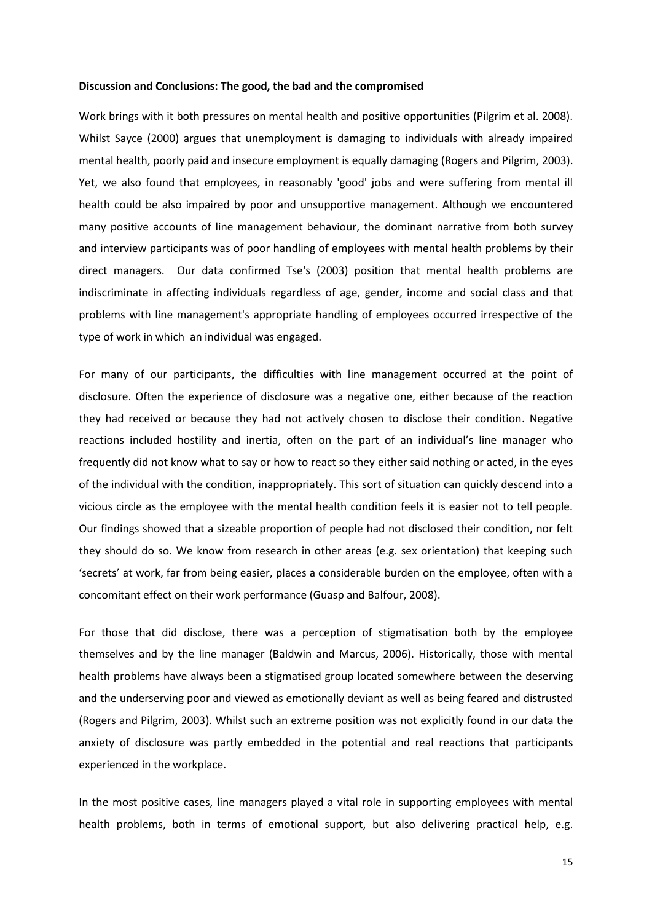#### **Discussion and Conclusions: The good, the bad and the compromised**

Work brings with it both pressures on mental health and positive opportunities (Pilgrim et al. 2008). Whilst Sayce (2000) argues that unemployment is damaging to individuals with already impaired mental health, poorly paid and insecure employment is equally damaging (Rogers and Pilgrim, 2003). Yet, we also found that employees, in reasonably 'good' jobs and were suffering from mental ill health could be also impaired by poor and unsupportive management. Although we encountered many positive accounts of line management behaviour, the dominant narrative from both survey and interview participants was of poor handling of employees with mental health problems by their direct managers. Our data confirmed Tse's (2003) position that mental health problems are indiscriminate in affecting individuals regardless of age, gender, income and social class and that problems with line management's appropriate handling of employees occurred irrespective of the type of work in which an individual was engaged.

For many of our participants, the difficulties with line management occurred at the point of disclosure. Often the experience of disclosure was a negative one, either because of the reaction they had received or because they had not actively chosen to disclose their condition. Negative reactions included hostility and inertia, often on the part of an individual's line manager who frequently did not know what to say or how to react so they either said nothing or acted, in the eyes of the individual with the condition, inappropriately. This sort of situation can quickly descend into a vicious circle as the employee with the mental health condition feels it is easier not to tell people. Our findings showed that a sizeable proportion of people had not disclosed their condition, nor felt they should do so. We know from research in other areas (e.g. sex orientation) that keeping such 'secrets' at work, far from being easier, places a considerable burden on the employee, often with a concomitant effect on their work performance (Guasp and Balfour, 2008).

For those that did disclose, there was a perception of stigmatisation both by the employee themselves and by the line manager (Baldwin and Marcus, 2006). Historically, those with mental health problems have always been a stigmatised group located somewhere between the deserving and the underserving poor and viewed as emotionally deviant as well as being feared and distrusted (Rogers and Pilgrim, 2003). Whilst such an extreme position was not explicitly found in our data the anxiety of disclosure was partly embedded in the potential and real reactions that participants experienced in the workplace.

In the most positive cases, line managers played a vital role in supporting employees with mental health problems, both in terms of emotional support, but also delivering practical help, e.g.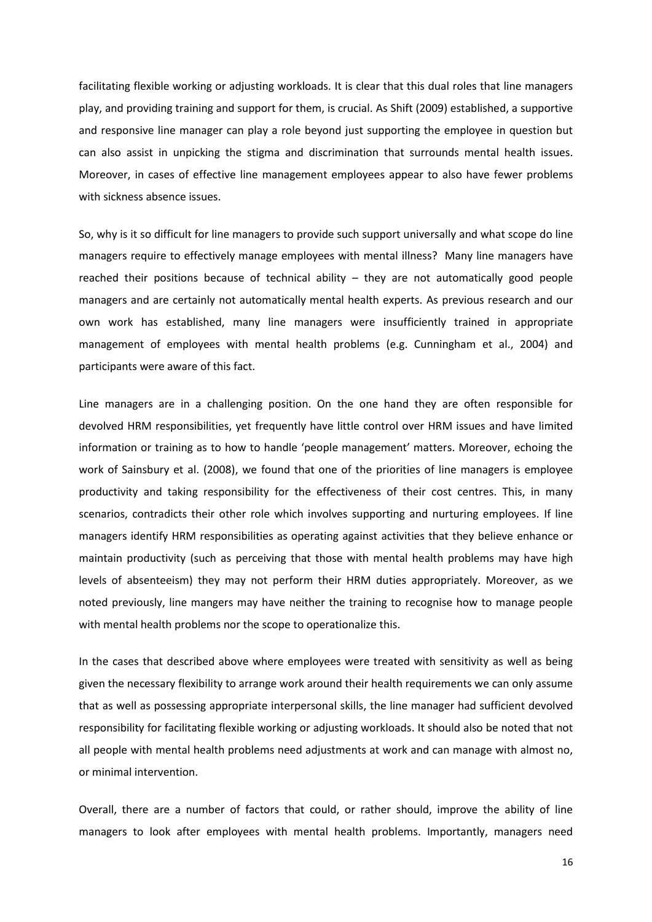facilitating flexible working or adjusting workloads. It is clear that this dual roles that line managers play, and providing training and support for them, is crucial. As Shift (2009) established, a supportive and responsive line manager can play a role beyond just supporting the employee in question but can also assist in unpicking the stigma and discrimination that surrounds mental health issues. Moreover, in cases of effective line management employees appear to also have fewer problems with sickness absence issues.

So, why is it so difficult for line managers to provide such support universally and what scope do line managers require to effectively manage employees with mental illness? Many line managers have reached their positions because of technical ability – they are not automatically good people managers and are certainly not automatically mental health experts. As previous research and our own work has established, many line managers were insufficiently trained in appropriate management of employees with mental health problems (e.g. Cunningham et al., 2004) and participants were aware of this fact.

Line managers are in a challenging position. On the one hand they are often responsible for devolved HRM responsibilities, yet frequently have little control over HRM issues and have limited information or training as to how to handle 'people management' matters. Moreover, echoing the work of Sainsbury et al. (2008), we found that one of the priorities of line managers is employee productivity and taking responsibility for the effectiveness of their cost centres. This, in many scenarios, contradicts their other role which involves supporting and nurturing employees. If line managers identify HRM responsibilities as operating against activities that they believe enhance or maintain productivity (such as perceiving that those with mental health problems may have high levels of absenteeism) they may not perform their HRM duties appropriately. Moreover, as we noted previously, line mangers may have neither the training to recognise how to manage people with mental health problems nor the scope to operationalize this.

In the cases that described above where employees were treated with sensitivity as well as being given the necessary flexibility to arrange work around their health requirements we can only assume that as well as possessing appropriate interpersonal skills, the line manager had sufficient devolved responsibility for facilitating flexible working or adjusting workloads. It should also be noted that not all people with mental health problems need adjustments at work and can manage with almost no, or minimal intervention.

Overall, there are a number of factors that could, or rather should, improve the ability of line managers to look after employees with mental health problems. Importantly, managers need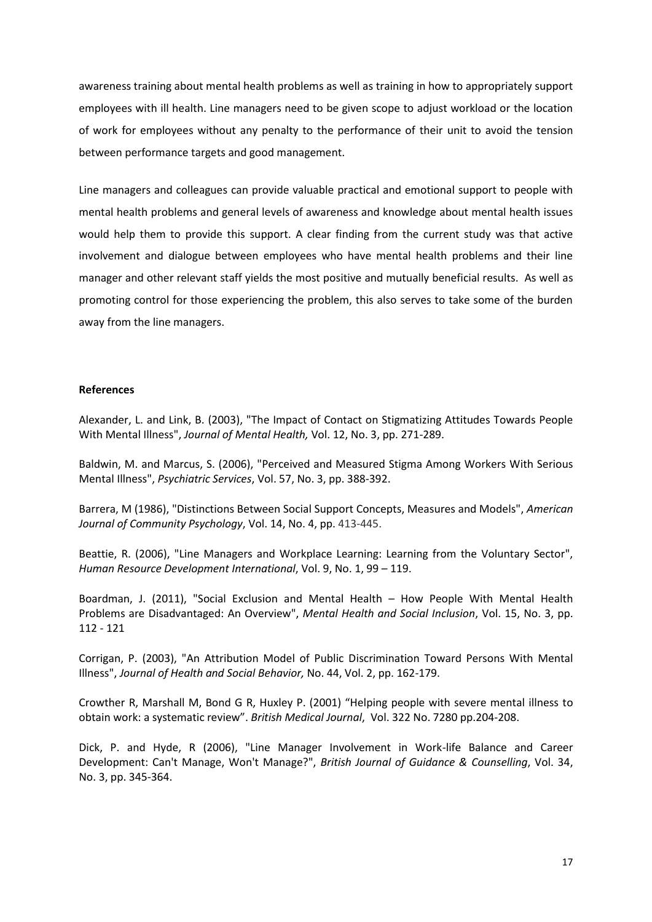awareness training about mental health problems as well as training in how to appropriately support employees with ill health. Line managers need to be given scope to adjust workload or the location of work for employees without any penalty to the performance of their unit to avoid the tension between performance targets and good management.

Line managers and colleagues can provide valuable practical and emotional support to people with mental health problems and general levels of awareness and knowledge about mental health issues would help them to provide this support. A clear finding from the current study was that active involvement and dialogue between employees who have mental health problems and their line manager and other relevant staff yields the most positive and mutually beneficial results. As well as promoting control for those experiencing the problem, this also serves to take some of the burden away from the line managers.

# **References**

Alexander, L. and Link, B. (2003), "The Impact of Contact on Stigmatizing Attitudes Towards People With Mental Illness", *Journal of Mental Health,* Vol. 12, No. 3, pp. 271-289.

Baldwin, M. and Marcus, S. (2006), "Perceived and Measured Stigma Among Workers With Serious Mental Illness", *Psychiatric Services*, Vol. 57, No. 3, pp. 388-392.

Barrera, M (1986), "Distinctions Between Social Support Concepts, Measures and Models", *American Journal of Community Psychology*, Vol. 14, No. 4, pp. 413-445.

Beattie, R. (2006), "Line Managers and Workplace Learning: Learning from the Voluntary Sector", *Human Resource Development International*, Vol. 9, No. 1, 99 – 119.

Boardman, J. (2011), "Social Exclusion and Mental Health – How People With Mental Health Problems are Disadvantaged: An Overview", *Mental Health and Social Inclusion*, Vol. 15, No. 3, pp. 112 - 121

Corrigan, P. (2003), "An Attribution Model of Public Discrimination Toward Persons With Mental Illness", *Journal of Health and Social Behavior,* No. 44, Vol. 2, pp. 162-179.

Crowther R, Marshall M, Bond G R, Huxley P. (2001) "Helping people with severe mental illness to obtain work: a systematic review". *British Medical Journal*, Vol. 322 No. 7280 pp.204-208.

Dick, P. and Hyde, R (2006), "Line Manager Involvement in Work-life Balance and Career Development: Can't Manage, Won't Manage?", *British Journal of Guidance & Counselling*, Vol. 34, No. 3, pp. 345-364.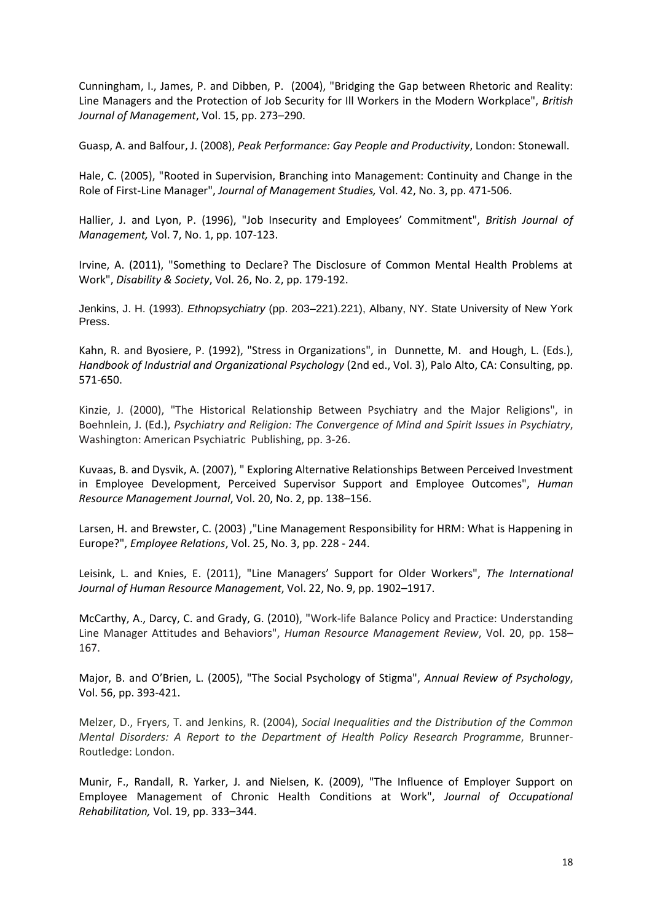Cunningham, I., James, P. and Dibben, P. (2004), "Bridging the Gap between Rhetoric and Reality: Line Managers and the Protection of Job Security for Ill Workers in the Modern Workplace", *British Journal of Management*, Vol. 15, pp. 273–290.

Guasp, A. and Balfour, J. (2008), *Peak Performance: Gay People and Productivity*, London: Stonewall.

Hale, C. (2005), "Rooted in Supervision, Branching into Management: Continuity and Change in the Role of First-Line Manager", *Journal of Management Studies,* Vol. 42, No. 3, pp. 471-506.

Hallier, J. and Lyon, P. (1996), "Job Insecurity and Employees' Commitment", *British Journal of Management,* Vol. 7, No. 1, pp. 107-123.

Irvine, A. (2011), "Something to Declare? The Disclosure of Common Mental Health Problems at Work", *Disability & Society*, Vol. 26, No. 2, pp. 179-192.

Jenkins, J. H. (1993). *Ethnopsychiatry* (pp. 203–221).221), Albany, NY. State University of New York Press.

Kahn, R. and Byosiere, P. (1992), "Stress in Organizations", in Dunnette, M. and Hough, L. (Eds.), *Handbook of Industrial and Organizational Psychology* (2nd ed., Vol. 3), Palo Alto, CA: Consulting, pp. 571-650.

Kinzie, J. (2000), "The Historical Relationship Between Psychiatry and the Major Religions", in Boehnlein, J. (Ed.), *Psychiatry and Religion: The Convergence of Mind and Spirit Issues in Psychiatry*, Washington: American Psychiatric Publishing, pp. 3-26.

Kuvaas, B. and Dysvik, A. (2007), " Exploring Alternative Relationships Between Perceived Investment in Employee Development, Perceived Supervisor Support and Employee Outcomes", *Human Resource Management Journal*, Vol. 20, No. 2, pp. 138–156.

Larsen, H. and Brewster, C. (2003) ,"Line Management Responsibility for HRM: What is Happening in Europe?", *Employee Relations*, Vol. 25, No. 3, pp. 228 - 244.

Leisink, L. and Knies, E. (2011), "Line Managers' Support for Older Workers", *The International Journal of Human Resource Management*, Vol. 22, No. 9, pp. 1902–1917.

McCarthy, A., Darcy, C. and Grady, G. (2010), "Work-life Balance Policy and Practice: Understanding Line Manager Attitudes and Behaviors", *Human Resource Management Review*, Vol. 20, pp. 158– 167.

Major, B. and O'Brien, L. (2005), "The Social Psychology of Stigma", *Annual Review of Psychology*, Vol. 56, pp. 393-421.

Melzer, D., Fryers, T. and Jenkins, R. (2004), *Social Inequalities and the Distribution of the Common Mental Disorders: A Report to the Department of Health Policy Research Programme*, Brunner-Routledge: London.

Munir, F., Randall, R. Yarker, J. and Nielsen, K. (2009), "The Influence of Employer Support on Employee Management of Chronic Health Conditions at Work", *Journal of Occupational Rehabilitation,* Vol. 19, pp. 333–344.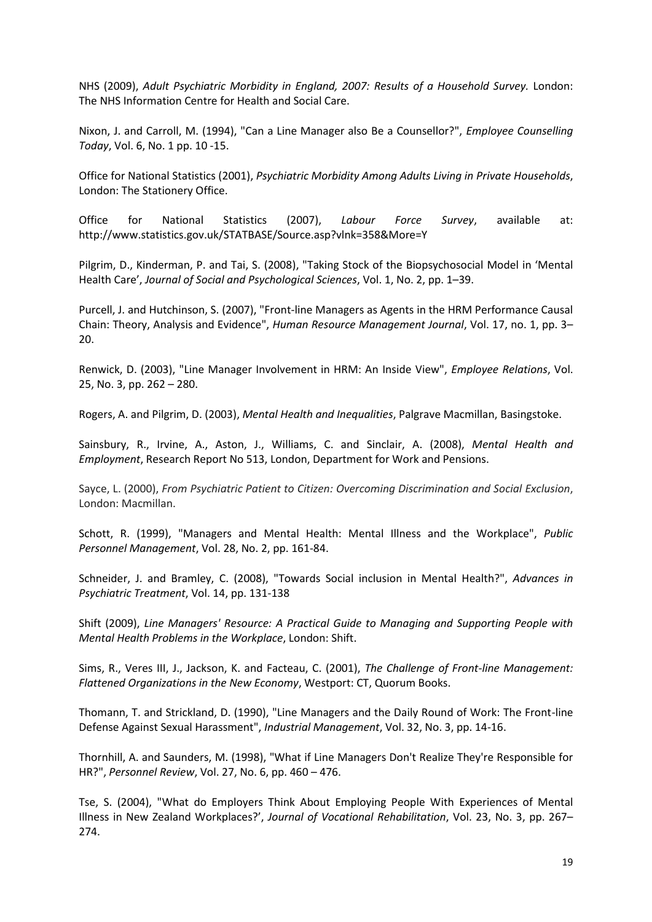NHS (2009), *Adult Psychiatric Morbidity in England, 2007: Results of a Household Survey.* London: The NHS Information Centre for Health and Social Care.

Nixon, J. and Carroll, M. (1994), "Can a Line Manager also Be a Counsellor?", *Employee Counselling Today*, Vol. 6, No. 1 pp. 10 -15.

Office for National Statistics (2001), *Psychiatric Morbidity Among Adults Living in Private Households*, London: The Stationery Office.

Office for National Statistics (2007), *Labour Force Survey*, available at: http://www.statistics.gov.uk/STATBASE/Source.asp?vlnk=358&More=Y

Pilgrim, D., Kinderman, P. and Tai, S. (2008), "Taking Stock of the Biopsychosocial Model in 'Mental Health Care', *Journal of Social and Psychological Sciences*, Vol. 1, No. 2, pp. 1–39.

Purcell, J. and Hutchinson, S. (2007), "Front-line Managers as Agents in the HRM Performance Causal Chain: Theory, Analysis and Evidence", *Human Resource Management Journal*, Vol. 17, no. 1, pp. 3– 20.

Renwick, D. (2003), "Line Manager Involvement in HRM: An Inside View", *Employee Relations*, Vol. 25, No. 3, pp. 262 – 280.

Rogers, A. and Pilgrim, D. (2003), *Mental Health and Inequalities*, Palgrave Macmillan, Basingstoke.

Sainsbury, R., Irvine, A., Aston, J., Williams, C. and Sinclair, A. (2008), *Mental Health and Employment*, Research Report No 513, London, Department for Work and Pensions.

Sayce, L. (2000), *From Psychiatric Patient to Citizen: Overcoming Discrimination and Social Exclusion*, London: Macmillan.

Schott, R. (1999), "Managers and Mental Health: Mental Illness and the Workplace", *Public Personnel Management*, Vol. 28, No. 2, pp. 161-84.

Schneider, J. and Bramley, C. (2008), "Towards Social inclusion in Mental Health?", *Advances in Psychiatric Treatment*, Vol. 14, pp. 131-138

Shift (2009), *Line Managers' Resource: A Practical Guide to Managing and Supporting People with Mental Health Problems in the Workplace*, London: Shift.

Sims, R., Veres III, J., Jackson, K. and Facteau, C. (2001), *The Challenge of Front-line Management: Flattened Organizations in the New Economy*, Westport: CT, Quorum Books.

Thomann, T. and Strickland, D. (1990), "Line Managers and the Daily Round of Work: The Front-line Defense Against Sexual Harassment", *Industrial Management*, Vol. 32, No. 3, pp. 14-16.

Thornhill, A. and Saunders, M. (1998), "What if Line Managers Don't Realize They're Responsible for HR?", *Personnel Review*, Vol. 27, No. 6, pp. 460 – 476.

Tse, S. (2004), "What do Employers Think About Employing People With Experiences of Mental Illness in New Zealand Workplaces?', *Journal of Vocational Rehabilitation*, Vol. 23, No. 3, pp. 267– 274.